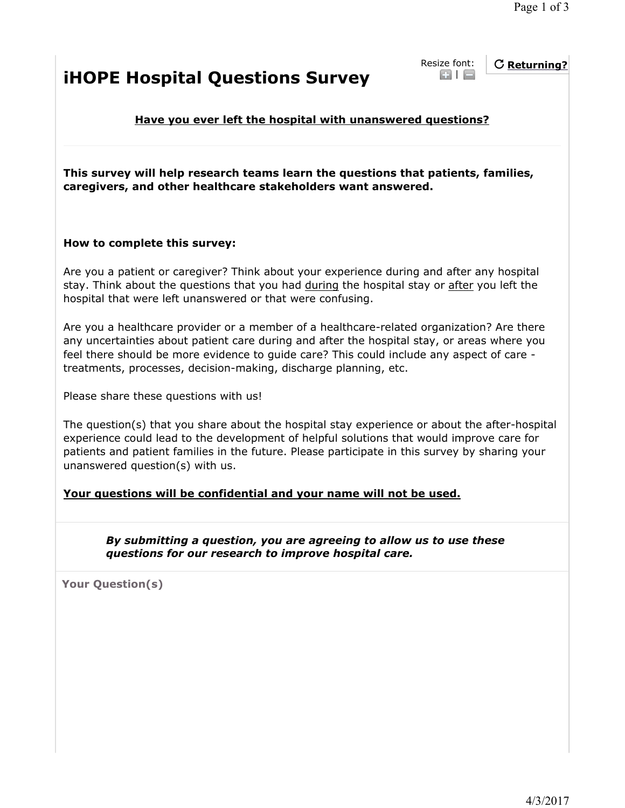## **iHOPE Hospital Questions Survey**

Resize font:  $\odot$  |  $\ominus$ 

**Returning?**

**Have you ever left the hospital with unanswered questions?**

**This survey will help research teams learn the questions that patients, families, caregivers, and other healthcare stakeholders want answered.**

## **How to complete this survey:**

Are you a patient or caregiver? Think about your experience during and after any hospital stay. Think about the questions that you had during the hospital stay or after you left the hospital that were left unanswered or that were confusing.

Are you a healthcare provider or a member of a healthcare-related organization? Are there any uncertainties about patient care during and after the hospital stay, or areas where you feel there should be more evidence to guide care? This could include any aspect of care treatments, processes, decision-making, discharge planning, etc.

Please share these questions with us!

The question(s) that you share about the hospital stay experience or about the after-hospital experience could lead to the development of helpful solutions that would improve care for patients and patient families in the future. Please participate in this survey by sharing your unanswered question(s) with us.

## **Your questions will be confidential and your name will not be used.**

*By submitting a question, you are agreeing to allow us to use these questions for our research to improve hospital care.*

**Your Question(s)**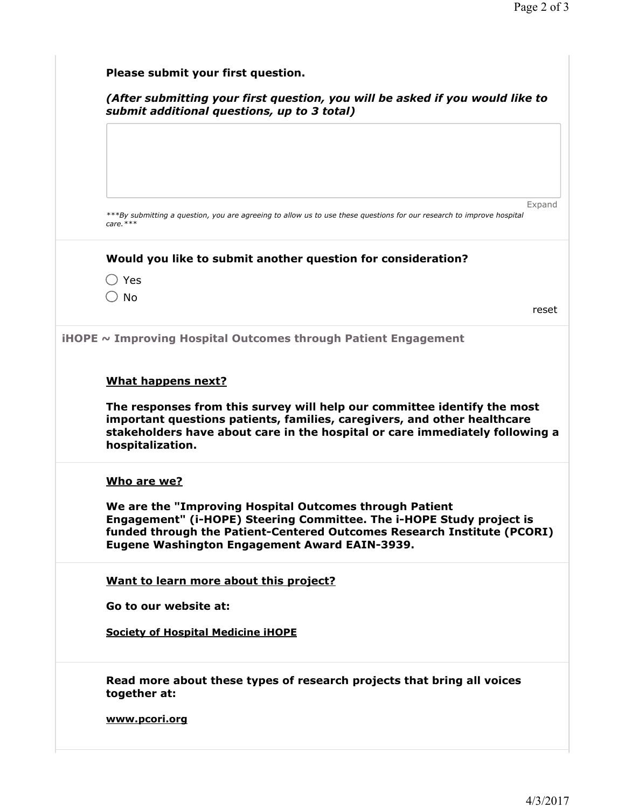| (After submitting your first question, you will be asked if you would like to<br>submit additional questions, up to 3 total)                                                                                                                                                      |
|-----------------------------------------------------------------------------------------------------------------------------------------------------------------------------------------------------------------------------------------------------------------------------------|
| Expand                                                                                                                                                                                                                                                                            |
| ***By submitting a question, you are agreeing to allow us to use these questions for our research to improve hospital<br>$care.***$                                                                                                                                               |
| Would you like to submit another question for consideration?                                                                                                                                                                                                                      |
| $\bigcirc$ Yes                                                                                                                                                                                                                                                                    |
| $\supset$ No                                                                                                                                                                                                                                                                      |
| reset                                                                                                                                                                                                                                                                             |
| <b>iHOPE</b> $\sim$ Improving Hospital Outcomes through Patient Engagement                                                                                                                                                                                                        |
| <b>What happens next?</b><br>The responses from this survey will help our committee identify the most<br>important questions patients, families, caregivers, and other healthcare                                                                                                 |
| stakeholders have about care in the hospital or care immediately following a<br>hospitalization.                                                                                                                                                                                  |
| Who are we?<br>We are the "Improving Hospital Outcomes through Patient<br>Engagement" (i-HOPE) Steering Committee. The i-HOPE Study project is<br>funded through the Patient-Centered Outcomes Research Institute (PCORI)<br><b>Eugene Washington Engagement Award EAIN-3939.</b> |
| Want to learn more about this project?                                                                                                                                                                                                                                            |
| Go to our website at:                                                                                                                                                                                                                                                             |
| <b>Society of Hospital Medicine iHOPE</b>                                                                                                                                                                                                                                         |
| Read more about these types of research projects that bring all voices<br>together at:                                                                                                                                                                                            |